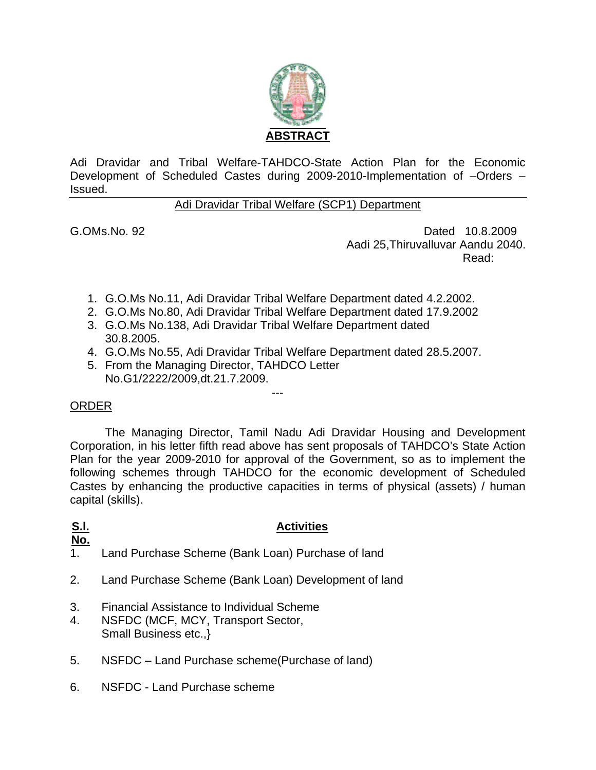

Adi Dravidar and Tribal Welfare-TAHDCO-State Action Plan for the Economic Development of Scheduled Castes during 2009-2010-Implementation of –Orders – Issued.

#### Adi Dravidar Tribal Welfare (SCP1) Department

G.OMs.No. 92 Dated 10.8.2009 Aadi 25,Thiruvalluvar Aandu 2040. **Read:** The contract of the contract of the contract of the contract of the contract of the contract of the contract of the contract of the contract of the contract of the contract of the contract of the contract of the co

- 1. G.O.Ms No.11, Adi Dravidar Tribal Welfare Department dated 4.2.2002.
- 2. G.O.Ms No.80, Adi Dravidar Tribal Welfare Department dated 17.9.2002
- 3. G.O.Ms No.138, Adi Dravidar Tribal Welfare Department dated 30.8.2005.
- 4. G.O.Ms No.55, Adi Dravidar Tribal Welfare Department dated 28.5.2007.

---

5. From the Managing Director, TAHDCO Letter No.G1/2222/2009,dt.21.7.2009.

#### ORDER

The Managing Director, Tamil Nadu Adi Dravidar Housing and Development Corporation, in his letter fifth read above has sent proposals of TAHDCO's State Action Plan for the year 2009-2010 for approval of the Government, so as to implement the following schemes through TAHDCO for the economic development of Scheduled Castes by enhancing the productive capacities in terms of physical (assets) / human capital (skills).

# **S.l.**

#### **Activities**

- **No.**
- 1. Land Purchase Scheme (Bank Loan) Purchase of land
- 2. Land Purchase Scheme (Bank Loan) Development of land
- 3. Financial Assistance to Individual Scheme
- 4. NSFDC (MCF, MCY, Transport Sector, Small Business etc.,}
- 5. NSFDC Land Purchase scheme(Purchase of land)
- 6. NSFDC Land Purchase scheme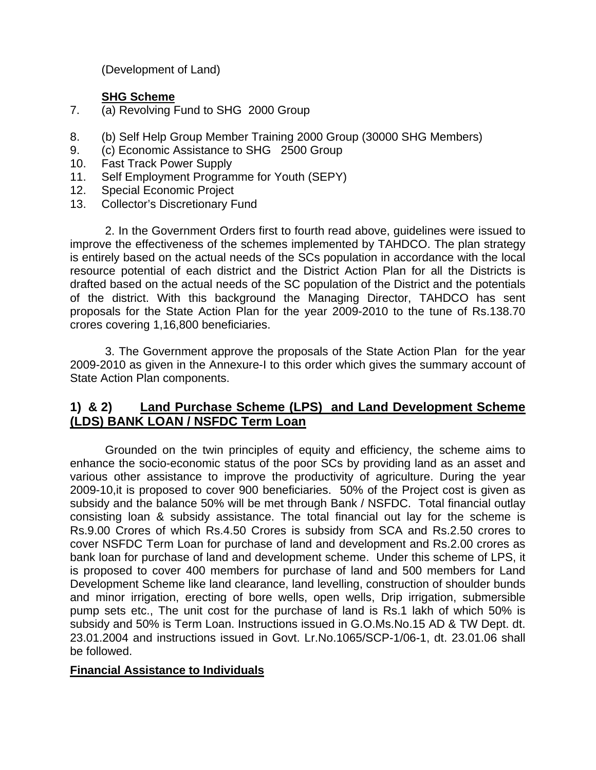(Development of Land)

#### **SHG Scheme**

- 7. (a) Revolving Fund to SHG 2000 Group
- 8. (b) Self Help Group Member Training 2000 Group (30000 SHG Members)
- 9. (c) Economic Assistance to SHG 2500 Group
- 10. Fast Track Power Supply
- 11. Self Employment Programme for Youth (SEPY)
- 12. Special Economic Project
- 13. Collector's Discretionary Fund

2. In the Government Orders first to fourth read above, guidelines were issued to improve the effectiveness of the schemes implemented by TAHDCO. The plan strategy is entirely based on the actual needs of the SCs population in accordance with the local resource potential of each district and the District Action Plan for all the Districts is drafted based on the actual needs of the SC population of the District and the potentials of the district. With this background the Managing Director, TAHDCO has sent proposals for the State Action Plan for the year 2009-2010 to the tune of Rs.138.70 crores covering 1,16,800 beneficiaries.

3. The Government approve the proposals of the State Action Plan for the year 2009-2010 as given in the Annexure-I to this order which gives the summary account of State Action Plan components.

### **1) & 2) Land Purchase Scheme (LPS) and Land Development Scheme (LDS) BANK LOAN / NSFDC Term Loan**

 Grounded on the twin principles of equity and efficiency, the scheme aims to enhance the socio-economic status of the poor SCs by providing land as an asset and various other assistance to improve the productivity of agriculture. During the year 2009-10,it is proposed to cover 900 beneficiaries. 50% of the Project cost is given as subsidy and the balance 50% will be met through Bank / NSFDC. Total financial outlay consisting loan & subsidy assistance. The total financial out lay for the scheme is Rs.9.00 Crores of which Rs.4.50 Crores is subsidy from SCA and Rs.2.50 crores to cover NSFDC Term Loan for purchase of land and development and Rs.2.00 crores as bank loan for purchase of land and development scheme. Under this scheme of LPS, it is proposed to cover 400 members for purchase of land and 500 members for Land Development Scheme like land clearance, land levelling, construction of shoulder bunds and minor irrigation, erecting of bore wells, open wells, Drip irrigation, submersible pump sets etc., The unit cost for the purchase of land is Rs.1 lakh of which 50% is subsidy and 50% is Term Loan. Instructions issued in G.O.Ms.No.15 AD & TW Dept. dt. 23.01.2004 and instructions issued in Govt. Lr.No.1065/SCP-1/06-1, dt. 23.01.06 shall be followed.

#### **Financial Assistance to Individuals**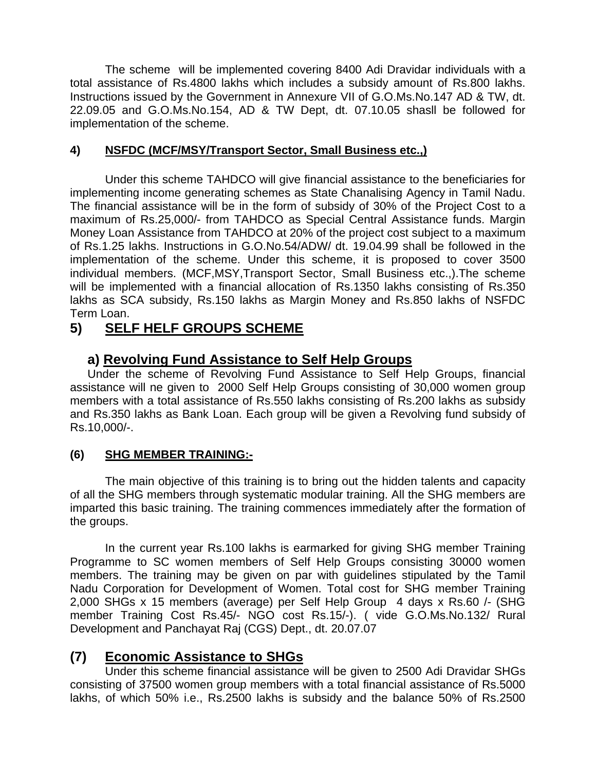The scheme will be implemented covering 8400 Adi Dravidar individuals with a total assistance of Rs.4800 lakhs which includes a subsidy amount of Rs.800 lakhs. Instructions issued by the Government in Annexure VII of G.O.Ms.No.147 AD & TW, dt. 22.09.05 and G.O.Ms.No.154, AD & TW Dept, dt. 07.10.05 shasll be followed for implementation of the scheme.

#### **4) NSFDC (MCF/MSY/Transport Sector, Small Business etc.,)**

Under this scheme TAHDCO will give financial assistance to the beneficiaries for implementing income generating schemes as State Chanalising Agency in Tamil Nadu. The financial assistance will be in the form of subsidy of 30% of the Project Cost to a maximum of Rs.25,000/- from TAHDCO as Special Central Assistance funds. Margin Money Loan Assistance from TAHDCO at 20% of the project cost subject to a maximum of Rs.1.25 lakhs. Instructions in G.O.No.54/ADW/ dt. 19.04.99 shall be followed in the implementation of the scheme. Under this scheme, it is proposed to cover 3500 individual members. (MCF,MSY,Transport Sector, Small Business etc.,).The scheme will be implemented with a financial allocation of Rs.1350 lakhs consisting of Rs.350 lakhs as SCA subsidy, Rs.150 lakhs as Margin Money and Rs.850 lakhs of NSFDC Term Loan.

# **5) SELF HELF GROUPS SCHEME**

## **a) Revolving Fund Assistance to Self Help Groups**

Under the scheme of Revolving Fund Assistance to Self Help Groups, financial assistance will ne given to 2000 Self Help Groups consisting of 30,000 women group members with a total assistance of Rs.550 lakhs consisting of Rs.200 lakhs as subsidy and Rs.350 lakhs as Bank Loan. Each group will be given a Revolving fund subsidy of Rs.10,000/-.

### **(6) SHG MEMBER TRAINING:-**

 The main objective of this training is to bring out the hidden talents and capacity of all the SHG members through systematic modular training. All the SHG members are imparted this basic training. The training commences immediately after the formation of the groups.

 In the current year Rs.100 lakhs is earmarked for giving SHG member Training Programme to SC women members of Self Help Groups consisting 30000 women members. The training may be given on par with guidelines stipulated by the Tamil Nadu Corporation for Development of Women. Total cost for SHG member Training 2,000 SHGs x 15 members (average) per Self Help Group 4 days x Rs.60 /- (SHG member Training Cost Rs.45/- NGO cost Rs.15/-). ( vide G.O.Ms.No.132/ Rural Development and Panchayat Raj (CGS) Dept., dt. 20.07.07

# **(7) Economic Assistance to SHGs**

Under this scheme financial assistance will be given to 2500 Adi Dravidar SHGs consisting of 37500 women group members with a total financial assistance of Rs.5000 lakhs, of which 50% i.e., Rs.2500 lakhs is subsidy and the balance 50% of Rs.2500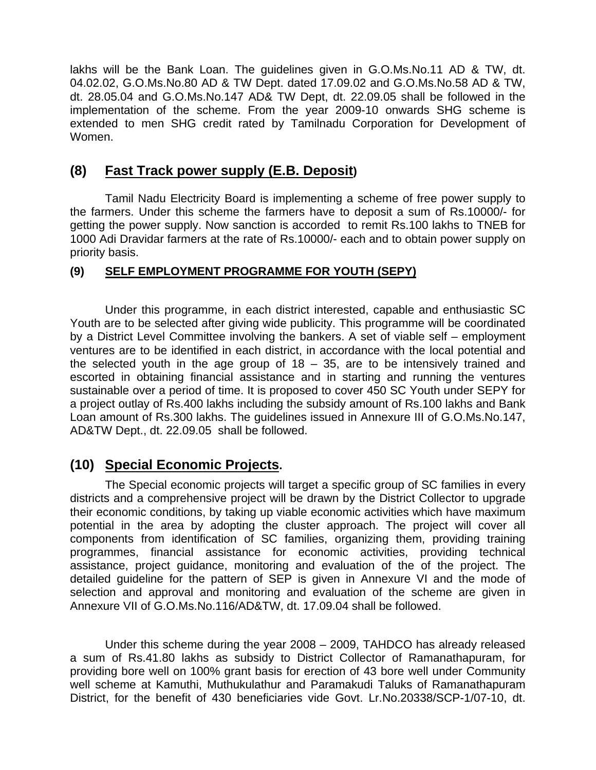lakhs will be the Bank Loan. The guidelines given in G.O.Ms.No.11 AD & TW, dt. 04.02.02, G.O.Ms.No.80 AD & TW Dept. dated 17.09.02 and G.O.Ms.No.58 AD & TW, dt. 28.05.04 and G.O.Ms.No.147 AD& TW Dept, dt. 22.09.05 shall be followed in the implementation of the scheme. From the year 2009-10 onwards SHG scheme is extended to men SHG credit rated by Tamilnadu Corporation for Development of Women.

### **(8) Fast Track power supply (E.B. Deposit)**

Tamil Nadu Electricity Board is implementing a scheme of free power supply to the farmers. Under this scheme the farmers have to deposit a sum of Rs.10000/- for getting the power supply. Now sanction is accorded to remit Rs.100 lakhs to TNEB for 1000 Adi Dravidar farmers at the rate of Rs.10000/- each and to obtain power supply on priority basis.

#### **(9) SELF EMPLOYMENT PROGRAMME FOR YOUTH (SEPY)**

Under this programme, in each district interested, capable and enthusiastic SC Youth are to be selected after giving wide publicity. This programme will be coordinated by a District Level Committee involving the bankers. A set of viable self – employment ventures are to be identified in each district, in accordance with the local potential and the selected youth in the age group of  $18 - 35$ , are to be intensively trained and escorted in obtaining financial assistance and in starting and running the ventures sustainable over a period of time. It is proposed to cover 450 SC Youth under SEPY for a project outlay of Rs.400 lakhs including the subsidy amount of Rs.100 lakhs and Bank Loan amount of Rs.300 lakhs. The guidelines issued in Annexure III of G.O.Ms.No.147, AD&TW Dept., dt. 22.09.05 shall be followed.

## **(10) Special Economic Projects.**

The Special economic projects will target a specific group of SC families in every districts and a comprehensive project will be drawn by the District Collector to upgrade their economic conditions, by taking up viable economic activities which have maximum potential in the area by adopting the cluster approach. The project will cover all components from identification of SC families, organizing them, providing training programmes, financial assistance for economic activities, providing technical assistance, project guidance, monitoring and evaluation of the of the project. The detailed guideline for the pattern of SEP is given in Annexure VI and the mode of selection and approval and monitoring and evaluation of the scheme are given in Annexure VII of G.O.Ms.No.116/AD&TW, dt. 17.09.04 shall be followed.

Under this scheme during the year 2008 – 2009, TAHDCO has already released a sum of Rs.41.80 lakhs as subsidy to District Collector of Ramanathapuram, for providing bore well on 100% grant basis for erection of 43 bore well under Community well scheme at Kamuthi, Muthukulathur and Paramakudi Taluks of Ramanathapuram District, for the benefit of 430 beneficiaries vide Govt. Lr.No.20338/SCP-1/07-10, dt.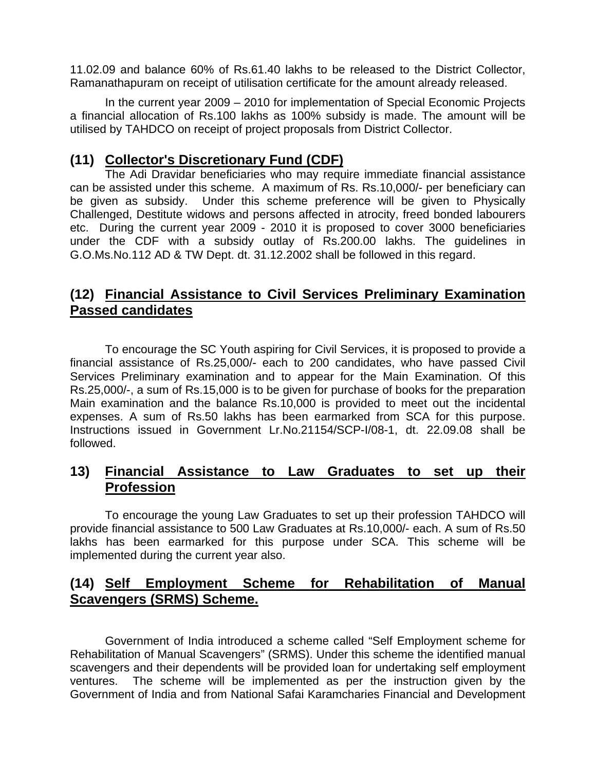11.02.09 and balance 60% of Rs.61.40 lakhs to be released to the District Collector, Ramanathapuram on receipt of utilisation certificate for the amount already released.

 In the current year 2009 – 2010 for implementation of Special Economic Projects a financial allocation of Rs.100 lakhs as 100% subsidy is made. The amount will be utilised by TAHDCO on receipt of project proposals from District Collector.

## **(11) Collector's Discretionary Fund (CDF)**

 The Adi Dravidar beneficiaries who may require immediate financial assistance can be assisted under this scheme. A maximum of Rs. Rs.10,000/- per beneficiary can be given as subsidy. Under this scheme preference will be given to Physically Challenged, Destitute widows and persons affected in atrocity, freed bonded labourers etc. During the current year 2009 - 2010 it is proposed to cover 3000 beneficiaries under the CDF with a subsidy outlay of Rs.200.00 lakhs. The guidelines in G.O.Ms.No.112 AD & TW Dept. dt. 31.12.2002 shall be followed in this regard.

## **(12) Financial Assistance to Civil Services Preliminary Examination Passed candidates**

To encourage the SC Youth aspiring for Civil Services, it is proposed to provide a financial assistance of Rs.25,000/- each to 200 candidates, who have passed Civil Services Preliminary examination and to appear for the Main Examination. Of this Rs.25,000/-, a sum of Rs.15,000 is to be given for purchase of books for the preparation Main examination and the balance Rs.10,000 is provided to meet out the incidental expenses. A sum of Rs.50 lakhs has been earmarked from SCA for this purpose. Instructions issued in Government Lr.No.21154/SCP-I/08-1, dt. 22.09.08 shall be followed.

## **13) Financial Assistance to Law Graduates to set up their Profession**

To encourage the young Law Graduates to set up their profession TAHDCO will provide financial assistance to 500 Law Graduates at Rs.10,000/- each. A sum of Rs.50 lakhs has been earmarked for this purpose under SCA. This scheme will be implemented during the current year also.

## **(14) Self Employment Scheme for Rehabilitation of Manual Scavengers (SRMS) Scheme.**

Government of India introduced a scheme called "Self Employment scheme for Rehabilitation of Manual Scavengers" (SRMS). Under this scheme the identified manual scavengers and their dependents will be provided loan for undertaking self employment ventures. The scheme will be implemented as per the instruction given by the Government of India and from National Safai Karamcharies Financial and Development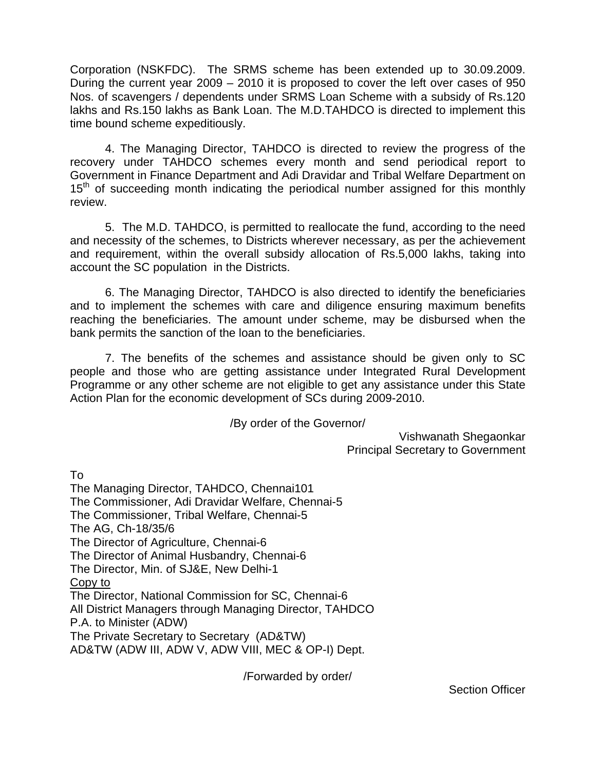Corporation (NSKFDC). The SRMS scheme has been extended up to 30.09.2009. During the current year 2009 – 2010 it is proposed to cover the left over cases of 950 Nos. of scavengers / dependents under SRMS Loan Scheme with a subsidy of Rs.120 lakhs and Rs.150 lakhs as Bank Loan. The M.D.TAHDCO is directed to implement this time bound scheme expeditiously.

4. The Managing Director, TAHDCO is directed to review the progress of the recovery under TAHDCO schemes every month and send periodical report to Government in Finance Department and Adi Dravidar and Tribal Welfare Department on  $15<sup>th</sup>$  of succeeding month indicating the periodical number assigned for this monthly review.

5. The M.D. TAHDCO, is permitted to reallocate the fund, according to the need and necessity of the schemes, to Districts wherever necessary, as per the achievement and requirement, within the overall subsidy allocation of Rs.5,000 lakhs, taking into account the SC population in the Districts.

6. The Managing Director, TAHDCO is also directed to identify the beneficiaries and to implement the schemes with care and diligence ensuring maximum benefits reaching the beneficiaries. The amount under scheme, may be disbursed when the bank permits the sanction of the loan to the beneficiaries.

7. The benefits of the schemes and assistance should be given only to SC people and those who are getting assistance under Integrated Rural Development Programme or any other scheme are not eligible to get any assistance under this State Action Plan for the economic development of SCs during 2009-2010.

/By order of the Governor/

Vishwanath Shegaonkar Principal Secretary to Government

To

The Managing Director, TAHDCO, Chennai101 The Commissioner, Adi Dravidar Welfare, Chennai-5 The Commissioner, Tribal Welfare, Chennai-5 The AG, Ch-18/35/6 The Director of Agriculture, Chennai-6 The Director of Animal Husbandry, Chennai-6 The Director, Min. of SJ&E, New Delhi-1 Copy to The Director, National Commission for SC, Chennai-6 All District Managers through Managing Director, TAHDCO P.A. to Minister (ADW) The Private Secretary to Secretary (AD&TW) AD&TW (ADW III, ADW V, ADW VIII, MEC & OP-I) Dept.

/Forwarded by order/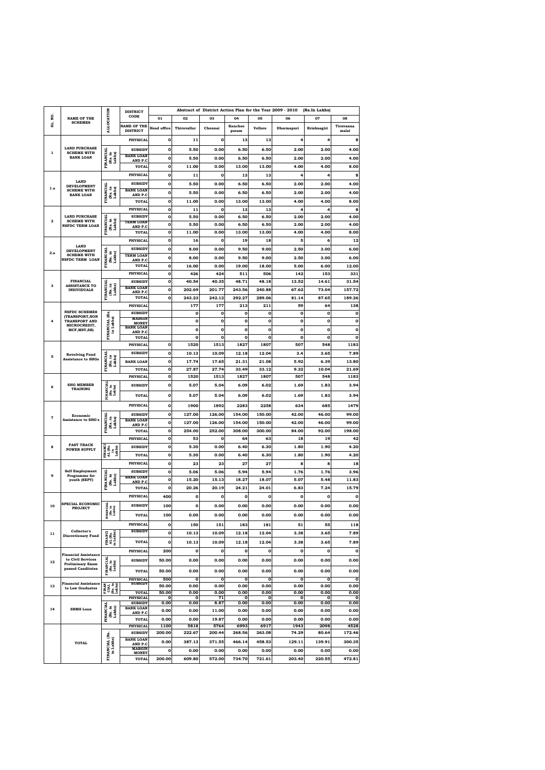|              |                                                         |                                       | <b>DISTRICT</b>                    |                    |                 |                      |                 |                      | Abstract of District Action Plan for the Year 2009 - 2010 | (Rs.In Lakhs)  |                  |
|--------------|---------------------------------------------------------|---------------------------------------|------------------------------------|--------------------|-----------------|----------------------|-----------------|----------------------|-----------------------------------------------------------|----------------|------------------|
| ġ,           | <b>NAME OF THE</b><br><b>SCHEMES</b>                    | <b>ALLOCATION</b>                     | CODE                               | 01                 | 02              | 03                   | 04              | 05                   | 06                                                        | 07             | 08               |
| ສູ່          |                                                         |                                       | <b>NAME OF THE</b>                 | <b>Head office</b> | Thiruvallur     | Chennai              | <b>Kanchee</b>  | <b>Vellore</b>       | Dharmapuri                                                | Krishnagiri    | Tiruvanna        |
|              |                                                         |                                       | <b>DISTRICT</b>                    |                    |                 |                      | puram           |                      |                                                           |                | malai            |
|              |                                                         |                                       | <b>PHYSICAL</b>                    | $\mathbf 0$        | 11              | $\mathbf o$          | 13              | 13                   | 4                                                         | 4              | 8                |
| 1            | <b>LAND PURCHASE</b><br><b>SCHEME WITH</b>              |                                       | <b>SUBSIDY</b>                     | $\mathbf 0$        | 5.50            | 0.00                 | 6.50            | 6.50                 | 2.00                                                      | 2.00           | 4.00             |
|              | <b>BANK LOAN</b>                                        | <b>FINANCIAL</b><br>(Rs. in<br>Lakhs) | <b>BANK LOAN</b><br>AND P.C        | $\mathbf 0$        | 5.50            | 0.00                 | 6.50            | 6.50                 | 2.00                                                      | 2.00           | 4.00             |
|              |                                                         |                                       | <b>TOTAL</b>                       | $\mathbf 0$        | 11.00           | 0.00                 | 13.00           | 13.00                | 4.00                                                      | 4.00           | 8.00             |
|              |                                                         |                                       | <b>PHYSICAL</b>                    | $\mathbf 0$        | 11              | 0                    | 13              | 13                   | 4                                                         | 4              | 8                |
| 1.a          | <b>LAND</b><br><b>DEVELOPMENT</b>                       |                                       | <b>SUBSIDY</b>                     | $\mathbf 0$        | 5.50            | 0.00                 | 6.50            | 6.50                 | 2.00                                                      | 2.00           | 4.00             |
|              | <b>SCHEME WITH</b><br><b>BANK LOAN</b>                  | <b>FINANCIAL</b><br>(Rs. in<br>Lakhs) | <b>BANK LOAN</b><br>AND P.C        | 0                  | 5.50            | 0.00                 | 6.50            | 6.50                 | 2.00                                                      | 2.00           | 4.00             |
|              |                                                         |                                       | <b>TOTAL</b>                       | $\mathbf 0$        | 11.00           | 0.00                 | 13.00           | 13.00                | 4.00                                                      | 4.00           | 8.00             |
|              |                                                         |                                       | <b>PHYSICAL</b>                    | $\mathbf 0$        | 11              | 0                    | 13              | 13                   | 4                                                         | 4              | 8                |
| $\mathbf{2}$ | <b>LAND PURCHASE</b><br><b>SCHEME WITH</b>              |                                       | <b>SUBSIDY</b><br><b>TERM LOAN</b> | $\mathbf 0$        | 5.50            | 0.00                 | 6.50            | 6.50                 | 2.00                                                      | 2.00           | 4.00             |
|              | NSFDC TERM LOAN                                         | FINANCIAL<br>(Rs. in<br>Lakhs)        | AND P.C                            | $\mathbf 0$        | 5.50            | 0.00                 | 6.50            | 6.50                 | 2.00                                                      | 2.00           | 4.00             |
|              |                                                         |                                       | TOTAL                              | $\mathbf 0$        | 11.00           | 0.00                 | 13.00           | 13.00                | 4.00                                                      | 4.00           | 8.00             |
|              | <b>LAND</b>                                             |                                       | <b>PHYSICAL</b>                    | $\mathbf 0$        | 16              | $\bf{0}$             | 19              | 18                   | 5                                                         | 6              | 12               |
| 2.a          | <b>DEVELOPMENT</b><br><b>SCHEME WITH</b>                |                                       | <b>SUBSIDY</b><br><b>TERM LOAN</b> | $\mathbf 0$        | 8.00            | 0.00                 | 9.50            | 9.00                 | 2.50                                                      | 3.00           | 6.00             |
|              | <b>NSFDC TERM LOAN</b>                                  | FINANCIAL<br>(Rs. in<br>Lakhs)        | AND P.C                            | $\mathbf 0$        | 8.00            | 0.00                 | 9.50            | 9.00                 | 2.50                                                      | 3.00           | 6.00             |
|              |                                                         |                                       | <b>TOTAL</b>                       | $\mathbf 0$        | 16.00           | 0.00                 | 19.00           | 18.00                | 5.00                                                      | 6.00           | 12.00            |
|              | <b>FINANCIAL</b>                                        |                                       | <b>PHYSICAL</b>                    | 0                  | 426             | 424                  | 511             | 506                  | 142                                                       | 153            | 331              |
| з            | <b>ASSISTANCE TO</b>                                    | <b>FINANCIAL</b><br>(Rs. in<br>Lakhs) | <b>SUBSIDY</b><br><b>BANK LOAN</b> | 0<br>0             | 40.54<br>202.69 | 40.35<br>201.77      | 48.71<br>243.56 | 48.18<br>240.88      | 13.52<br>67.62                                            | 14.61<br>73.04 | 31.54            |
|              | <b>INDIVIDUALS</b>                                      |                                       | AND P.C<br><b>TOTAL</b>            | $\mathbf 0$        | 243.23          | 242.12               | 292.27          | 289.06               | 81.14                                                     | 87.65          | 157.72<br>189.26 |
|              |                                                         |                                       | <b>PHYSICAL</b>                    |                    | 177             | 177                  | 213             | 211                  | 59                                                        | 64             | 138              |
|              | <b>NSFDC SCHEMES</b>                                    |                                       | <b>SUBSIDY</b>                     |                    | 0               | 0                    | 0               | 0                    | 0                                                         | 0              | 0                |
| 4            | (TRANSPORT, NON<br><b>TRANSPORT AND</b>                 | FINANCIAL (Rs.<br>in Lakhs)           | <b>MARGIN</b>                      |                    | 0               | $\bf{0}$             | 0               | $\mathbf 0$          | 0                                                         | O              | 0                |
|              | MICROCREDIT,<br>MCF, MSY, SB)                           |                                       | <b>MONEY</b><br><b>BANK LOAN</b>   |                    | 0               | $\bf{0}$             | 0               | $\mathbf 0$          | 0                                                         | $\mathbf 0$    | 0                |
|              |                                                         |                                       | AND P.C<br><b>TOTAL</b>            |                    | 0               | $\mathbf 0$          | $\mathbf{o}$    | $\mathbf 0$          | 0                                                         | $\mathbf 0$    | o                |
|              |                                                         |                                       | <b>PHYSICAL</b>                    | $\mathbf 0$        | 1520            | 1513                 | 1827            | 1807                 | 507                                                       | 548            | 1183             |
| 5            | <b>Revolving Fund</b><br><b>Assistance to SHGs</b>      | FINANCIAL<br>(Rs. in<br>Lakhs)        | <b>SUBSIDY</b>                     | $\mathbf 0$        | 10.13           | 10.09                | 12.18           | 12.04                | 3.4                                                       | 3.65           | 7.89             |
|              |                                                         |                                       | <b>BANK LOAN</b>                   | $\mathbf 0$        | 17.74           | 17.65                | 21.31           | 21.08                | 5.92                                                      | 6.39           | 13.80            |
|              |                                                         |                                       | TOTAL                              | $\mathbf 0$        | 27.87           | 27.74                | 33.49           | 33.12                | 9.32                                                      | 10.04          | 21.69            |
|              | <b>SHG MEMBER</b><br><b>TRAINING</b>                    |                                       | <b>PHYSICAL</b>                    | $\mathbf{o}$       | 1520            | 1513                 | 1827            | 1807                 | 507                                                       | 548            | 1183             |
| 6            |                                                         | NANCIAL<br>(Rs. in<br>Lakhs)<br>E     | <b>SUBSIDY</b>                     | $\mathbf 0$        | 5.07            | 5.04                 | 6.09            | 6.02                 | 1.69                                                      | 1.83           | 3.94             |
|              |                                                         |                                       | TOTAL                              | O                  | 5.07            | 5.04                 | 6.09            | 6.02                 | 1.69                                                      | 1.83           | 3.94             |
|              |                                                         |                                       | <b>PHYSICAL</b>                    | 0                  | 1900            | 1892                 | 2283            | 2258                 | 634                                                       | 685            | 1479             |
|              | Economic<br><b>Assistance to SHG's</b>                  |                                       | <b>SUBSIDY</b>                     | $\mathbf 0$        | 127.00          | 126.00               | 154.00          | 150.00               | 42.00                                                     | 46.00          | 99.00            |
| 7            |                                                         | <b>FINANCIAL</b><br>(Rs. in<br>Lakhs) | <b>BANK LOAN</b>                   | $\mathbf 0$        | 127.00          | 126.00               | 154.00          | 150.00               | 42.00                                                     | 46.00          | 99.00            |
|              |                                                         |                                       | AND P.C<br><b>TOTAL</b>            | $\mathbf 0$        | 254.00          | 252.00               | 308.00          | 300.00               | 84.00                                                     | 92.00          | 198.00           |
|              |                                                         |                                       | <b>PHYSICAL</b>                    | $\mathbf 0$        | 53              | 0                    | 64              | 63                   | 18                                                        | 19             | 42               |
| 8            | <b>FAST TRACK</b><br><b>POWER SUPPLY</b>                |                                       | <b>SUBSIDY</b>                     | 0                  | 5.30            | 0.00                 | 6.40            | 6.30                 | 1.80                                                      | 1.90           | 4.20             |
|              |                                                         | FINANCI<br>AL (Rs.<br>in<br>Lakhs)    | <b>TOTAL</b>                       | $\mathbf 0$        | 5.30            | 0.00                 | 6.40            | 6.30                 | 1.80                                                      | 1.90           | 4.20             |
|              |                                                         |                                       | <b>PHYSICAL</b>                    | 0                  | 23              | 23                   | 27              | 27                   | 8                                                         | 8              | 18               |
|              | <b>Self Employment</b><br>Programme for<br>youth (SEPY) |                                       | <b>SUBSIDY</b>                     | 0                  | 5.06            | 5.06                 | 5.94            | 5.94                 | 1.76                                                      | 1.76           | 3.96             |
| 9            |                                                         | <b>FINANCIAL</b><br>(Rs. in<br>Lakhs) | <b>BANK LOAN</b><br>AND P.C        | $\mathbf 0$        | 15.20           | 15.13                | 18.27           | 18.07                | 5.07                                                      | 5.48           | 11.83            |
|              |                                                         |                                       | <b>TOTAL</b>                       | 0                  | 20.26           | 20.19                | 24.21           | 24.01                | 6.83                                                      | 7.24           | 15.79            |
|              |                                                         |                                       | <b>PHYSICAL</b>                    | 400                | 0               | 0                    | 0               | o                    | 0                                                         | 0              | 0                |
| 10           | SPECIAL ECONOMIC<br><b>PROJECT</b>                      |                                       | <b>SUBSIDY</b>                     | 100                | $\mathbf 0$     | 0.00                 | 0.00            | 0.00                 | 0.00                                                      | 0.00           | 0.00             |
|              |                                                         | FINANCIAL<br>(Rs. in<br>Lakhs)        | <b>TOTAL</b>                       | 100                | 0.00            | 0.00                 | 0.00            | 0.00                 | 0.00                                                      | 0.00           | 0.00             |
|              |                                                         |                                       | <b>PHYSICAL</b>                    | $\mathbf 0$        | 150             | 151                  | 183             | 181                  | 51                                                        | 55             | 118              |
| 11           | Collector's                                             |                                       | <b>SUBSIDY</b>                     | $\mathbf{o}$       | 10.13           | 10.09                | 12.18           | 12.04                | 3.38                                                      | 3.65           | 7.89             |
|              | <b>Discretionary Fund</b>                               | FINANCI<br>AL (Rs.<br>in Lakhs)       | <b>TOTAL</b>                       | 0                  | 10.13           | 10.09                | 12.18           | 12.04                | 3.38                                                      | 3.65           | 7.89             |
|              |                                                         |                                       | <b>PHYSICAL</b>                    | 200                | 0               | 0                    | $\mathbf o$     | o                    | 0                                                         | 0              | o                |
|              | <b>Financial Assistance</b><br>to Civil Services        |                                       | <b>SUBSIDY</b>                     |                    |                 |                      |                 |                      |                                                           |                |                  |
| 12           | <b>Preliminary Exam</b>                                 | FINANCIAL<br>[Rs. in<br>Lakhs]        |                                    | 50.00              | 0.00            | 0.00                 | 0.00            | 0.00                 | 0.00                                                      | 0.00           | 0.00             |
|              | passed Canditates                                       |                                       | <b>TOTAL</b>                       | 50.00              | 0.00            | 0.00                 | 0.00            | 0.00                 | 0.00                                                      | 0.00           | 0.00             |
| 13           | <b>Financial Assistance</b>                             |                                       | <b>PHYSICAL</b><br><b>SUBSIDY</b>  | 500                | $\mathbf 0$     | $\mathbf{o}$<br>0.00 | 0<br>0.00       | $\mathbf{o}$<br>0.00 | O<br>0.00                                                 | 0<br>0.00      | 0                |
|              | to Law Graduates                                        | FINAN<br>CIAL<br>(Rs. in<br>Lakhs)    | <b>TOTAL</b>                       | 50.00<br>50.00     | 0.00<br>0.00    | 0.00                 | 0.00            | 0.00                 | 0.00                                                      | 0.00           | 0.00<br>0.00     |
|              |                                                         |                                       | <b>PHYSICAL</b>                    | $\mathbf o$        | 0               | 71                   | 0               | 0                    | 0                                                         | 0              | 0                |
| 14           | <b>SRMS Loan</b>                                        |                                       | <b>SUBSIDY</b><br><b>BANK LOAN</b> | 0.00<br>0.00       | 0.00<br>0.00    | 8.87<br>11.00        | 0.00<br>0.00    | 0.00<br>0.00         | 0.00<br>0.00                                              | 0.00<br>0.00   | 0.00<br>0.00     |
|              |                                                         | FINANCIAL<br>(Rs. in<br>Lakhs)        | AND P.C                            |                    |                 |                      |                 |                      |                                                           |                |                  |
|              |                                                         |                                       | <b>TOTAL</b><br><b>PHYSICAL</b>    | 0.00<br>1100       | 0.00<br>5818    | 19.87<br>5764        | 0.00<br>6993    | 0.00<br>6917         | 0.00<br>1943                                              | 0.00<br>2098   | 0.00<br>4528     |
|              |                                                         |                                       | <b>SUBSIDY</b>                     | 200.00             | 222.67          | 200.44               | 268.56          | 263.08               | 74.29                                                     | 80.64          | 172.46           |
|              | <b>TOTAL</b>                                            | FINANCIAL (Rs.<br>in Lakhs)           | <b>BANK LOAN</b><br>AND P.C        | 0.00               | 387.13          | 371.55               | 466.14          | 458.53               | 129.11                                                    | 139.91         | 300.35           |
|              |                                                         |                                       | <b>MARGIN</b>                      | 0                  | 0.00            | 0.00                 | 0.00            | 0.00                 | 0.00                                                      | 0.00           | 0.00             |
|              |                                                         | <b>MONEY</b><br><b>TOTAL</b>          | 200.00                             | 609.80             | 572.00          | 734.70               | 721.61          | 203.40               | 220.55                                                    | 472.81         |                  |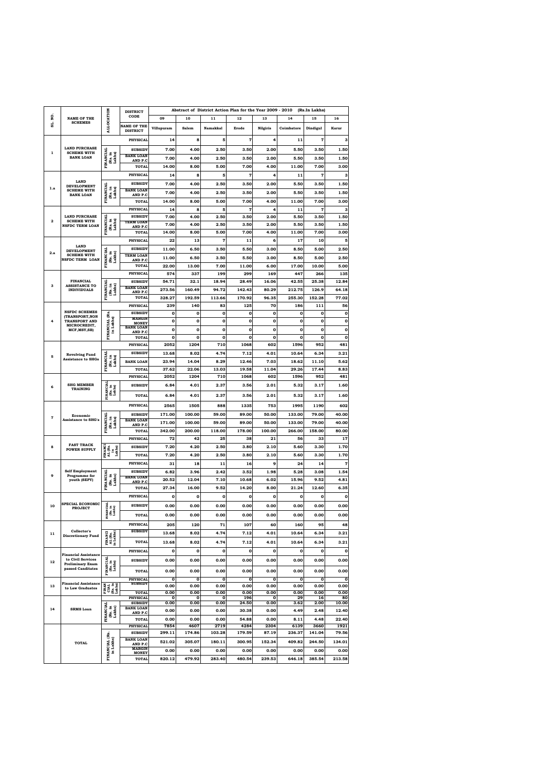| ŏ,           | <b>NAME OF THE</b><br><b>SCHEMES</b>                              |                                                   | <b>DISTRICT</b><br>CODE                      |                     |                    |                     | Abstract of District Action Plan for the Year 2009 - 2010 |                       |                  | (Rs.In Lakhs)         |                     |
|--------------|-------------------------------------------------------------------|---------------------------------------------------|----------------------------------------------|---------------------|--------------------|---------------------|-----------------------------------------------------------|-----------------------|------------------|-----------------------|---------------------|
| ສ່           |                                                                   | <b>ALLOCATION</b>                                 | <b>NAME OF THE</b>                           | 09<br>Villupuram    | 10<br>Salem        | 11<br>Namakkal      | 12<br>Erode                                               | 13<br><b>Nilgiris</b> | 14<br>Coimbatore | 15<br>Dindigul        | 16<br>Karur         |
|              |                                                                   |                                                   | <b>DISTRICT</b><br><b>PHYSICAL</b>           | 14                  | 8                  | 5                   | $\overline{7}$                                            | 4                     | 11               | 7                     | з                   |
|              | <b>LAND PURCHASE</b>                                              |                                                   | <b>SUBSIDY</b>                               | 7.00                | 4.00               | 2.50                | 3.50                                                      | 2.00                  | 5.50             | 3.50                  | 1.50                |
| $\mathbf{1}$ | <b>SCHEME WITH</b><br><b>BANK LOAN</b>                            | <b>FINANCIAL</b><br>(Rs. in<br>Lakhs)             | <b>BANK LOAN</b><br>AND P.C                  | 7.00                | 4.00               | 2.50                | 3.50                                                      | 2.00                  | 5.50             | 3.50                  | 1.50                |
|              |                                                                   |                                                   | TOTAL                                        | 14.00               | 8.00               | 5.00                | 7.00                                                      | 4.00                  | 11.00            | 7.00                  | 3.00                |
|              | <b>LAND</b>                                                       |                                                   | <b>PHYSICAL</b>                              | 14                  | 8                  | 5                   | 7                                                         | 4                     | 11               | 7                     | 3                   |
| 1.a          | <b>DEVELOPMENT</b><br><b>SCHEME WITH</b>                          |                                                   | <b>SUBSIDY</b><br><b>BANK LOAN</b>           | 7.00                | 4.00               | 2.50                | 3.50                                                      | 2.00                  | 5.50             | 3.50                  | 1.50                |
|              | <b>BANK LOAN</b>                                                  | FINANCIAL<br>(Rs. in<br>Lakhs)                    | AND P.C<br>TOTAL                             | 7.00<br>14.00       | 4.00<br>8.00       | 2.50<br>5.00        | 3.50<br>7.00                                              | 2.00<br>4.00          | 5.50<br>11.00    | 3.50<br>7.00          | 1.50<br>3.00        |
|              |                                                                   |                                                   | <b>PHYSICAL</b>                              | 14                  | 8                  | 5                   | $\overline{7}$                                            | 4                     | 11               | 7                     | 3                   |
| $\mathbf{2}$ | <b>LAND PURCHASE</b><br><b>SCHEME WITH</b>                        |                                                   | <b>SUBSIDY</b><br><b>TERM LOAN</b>           | 7.00                | 4.00               | 2.50                | 3.50                                                      | 2.00                  | 5.50             | 3.50                  | 1.50                |
|              | <b>NSFDC TERM LOAN</b>                                            | FINANCIAL<br>(Rs. in<br>Lakhs)                    | AND P.C<br><b>TOTAL</b>                      | 7.00<br>14.00       | 4.00<br>8.00       | 2.50<br>5.00        | 3.50<br>7.00                                              | 2.00<br>4.00          | 5.50<br>11.00    | 3.50<br>7.00          | 1.50<br>3.00        |
|              |                                                                   |                                                   | <b>PHYSICAL</b>                              | 22                  | 13                 | 7                   | 11                                                        | 6                     | 17               | 10                    | 5                   |
| 2.a          | <b>LAND</b><br><b>DEVELOPMENT</b>                                 |                                                   | <b>SUBSIDY</b>                               | 11.00               | 6.50               | 3.50                | 5.50                                                      | 3.00                  | 8.50             | 5.00                  | 2.50                |
|              | <b>SCHEME WITH</b><br>NSFDC TERM LOAN                             | FINANCIAL<br>(Rs. in<br>Lakhs)                    | <b>TERM LOAN</b><br>AND P.C                  | 11.00               | 6.50               | 3.50                | 5.50                                                      | 3.00                  | 8.50             | 5.00                  | 2.50                |
|              |                                                                   |                                                   | TOTAL                                        | 22.00               | 13.00              | 7.00                | 11.00                                                     | 6.00                  | 17.00            | 10.00                 | 5.00                |
|              | <b>FINANCIAL</b>                                                  |                                                   | <b>PHYSICAL</b><br><b>SUBSIDY</b>            | 574<br>54.71        | 337<br>32.1        | 199<br>18.94        | 299<br>28.49                                              | 169<br>16.06          | 447<br>42.55     | 266<br>25.38          | 135<br>12.84        |
| 3            | <b>ASSISTANCE TO</b><br><b>INDIVIDUALS</b>                        | FINANCIAL<br>(Rs. in<br>Lakhs)                    | <b>BANK LOAN</b><br>AND P.C                  | 273.56              | 160.49             | 94.72               | 142.43                                                    | 80.29                 | 212.75           | 126.9                 | 64.18               |
|              |                                                                   |                                                   | TOTAL                                        | 328.27              | 192.59             | 113.66              | 170.92                                                    | 96.35                 | 255.30           | 152.28                | 77.02               |
|              | <b>NSFDC SCHEMES</b>                                              |                                                   | <b>PHYSICAL</b><br><b>SUBSIDY</b>            | 239<br>$\mathbf 0$  | 140<br>$\mathbf 0$ | 83<br>0             | 125<br>o                                                  | 70<br>0               | 186<br>0         | 111<br>0              | 56<br>0             |
| 4            | (TRANSPORT, NON<br><b>TRANSPORT AND</b>                           |                                                   | <b>MARGIN</b><br><b>MONEY</b>                | $\bf{0}$            | $\mathbf 0$        | o                   | o                                                         | 0                     | 0                | o                     | 0                   |
|              | MICROCREDIT,<br>MCF, MSY, SB)                                     | FINANCIAL (Rs.<br>in Lakhs)                       | <b>BANK LOAN</b><br>AND P.C                  | $\mathbf 0$         | $\mathbf 0$        | $\mathbf 0$         | $\mathbf{o}$                                              | O                     | $\mathbf 0$      | $\mathbf 0$           | 0                   |
|              |                                                                   |                                                   | <b>TOTAL</b>                                 | $\bf{0}$            | $\mathbf 0$        | $\mathbf 0$         | $\mathbf{o}$                                              | $\mathbf 0$           | $\mathbf 0$      | $\mathbf{o}$          | $\mathbf 0$         |
|              | <b>Revolving Fund</b><br><b>Assistance to SHGs</b>                |                                                   | <b>PHYSICAL</b><br><b>SUBSIDY</b>            | 2052<br>13.68       | 1204<br>8.02       | 710<br>4.74         | 1068<br>7.12                                              | 602<br>4.01           | 1596<br>10.64    | 952<br>6.34           | 481<br>3.21         |
| 5            |                                                                   | FINANCIAL<br>(Rs. in<br>Lakhs)                    | <b>BANK LOAN</b>                             | 23.94               | 14.04              | 8.29                | 12.46                                                     | 7.03                  | 18.62            | 11.10                 | 5.62                |
|              |                                                                   |                                                   | TOTAL                                        | 37.62               | 22.06              | 13.03               | 19.58                                                     | 11.04                 | 29.26            | 17.44                 | 8.83                |
|              | <b>SHG MEMBER</b><br><b>TRAINING</b>                              |                                                   | <b>PHYSICAL</b>                              | 2052                | 1204               | 710                 | 1068                                                      | 602                   | 1596             | 952                   | 481                 |
| 6            |                                                                   | <b>IANCIAL</b><br>(Rs. in<br>Lakhs)               | <b>SUBSIDY</b>                               | 6.84                | 4.01               | 2.37                | 3.56                                                      | 2.01                  | 5.32             | 3.17                  | 1.60                |
|              |                                                                   | Ē                                                 | TOTAL                                        | 6.84                | 4.01               | 2.37                | 3.56                                                      | 2.01                  | 5.32             | 3.17                  | 1.60                |
|              | Economic<br><b>Assistance to SHG's</b>                            |                                                   | <b>PHYSICAL</b><br><b>SUBSIDY</b>            | 2565<br>171.00      | 1505<br>100.00     | 888<br>59.00        | 1335<br>89.00                                             | 753<br>50.00          | 1995<br>133.00   | 1190<br>79.00         | 602<br>40.00        |
| 7            |                                                                   | <b>FINANCIAL</b><br>(Rs. in<br>Lakhs)             | <b>BANK LOAN</b><br>AND P.C                  | 171.00              | 100.00             | 59.00               | 89.00                                                     | 50.00                 | 133.00           | 79.00                 | 40.00               |
|              |                                                                   |                                                   | TOTAL                                        | 342.00              | 200.00             | 118.00              | 178.00                                                    | 100.00                | 266.00           | 158.00                | 80.00               |
|              | <b>FAST TRACK</b>                                                 |                                                   | <b>PHYSICAL</b>                              | 72                  | 42                 | 25                  | 38                                                        | 21                    | 56               | 33                    | 17                  |
| 8            | POWER SUPPLY                                                      | FINANCI<br>AL (Rs.<br>in<br>Lakhs)                | <b>SUBSIDY</b><br><b>TOTAL</b>               | 7.20<br>7.20        | 4.20<br>4.20       | 2.50<br>2.50        | 3.80<br>3.80                                              | 2.10<br>2.10          | 5.60<br>5.60     | 3.30<br>3.30          | 1.70<br>1.70        |
|              |                                                                   |                                                   | <b>PHYSICAL</b>                              | 31                  | 18                 | 11                  | 16                                                        | 9                     | 24               | 14                    | 7                   |
| 9            | <b>Self Employment</b><br>Programme for                           |                                                   | <b>SUBSIDY</b>                               | 6.82                | 3.96               | 2.42                | 3.52                                                      | 1.98                  | 5.28             | 3.08                  | 1.54                |
|              | youth (SEPY)                                                      | <b>FINANCIAL</b><br>(Rs. in<br>Lakhs)             | <b>BANK LOAN</b><br><b>AND P.C</b>           | 20.52               | 12.04              | 7.10                | 10.68                                                     | 6.02                  | 15.96            | 9.52                  | 4.81                |
|              |                                                                   |                                                   | TOTAL<br><b>PHYSICAL</b>                     | 27.34<br>$\bf{0}$   | 16.00<br>0         | 9.52<br>$\mathbf o$ | 14.20<br>$\mathbf{o}$                                     | 8.00<br>0             | 21.24<br>0       | 12.60<br>$\mathbf{o}$ | 6.35<br>0           |
| 10           | SPECIAL ECONOMIC                                                  |                                                   | <b>SUBSIDY</b>                               | 0.00                | 0.00               | 0.00                | 0.00                                                      | 0.00                  | 0.00             | 0.00                  | 0.00                |
|              | <b>PROJECT</b>                                                    | FINANCIAL<br>[Rs. in<br>Lakhs]                    | <b>TOTAL</b>                                 | 0.00                | 0.00               | 0.00                | 0.00                                                      | 0.00                  | 0.00             | 0.00                  | 0.00                |
|              |                                                                   |                                                   | <b>PHYSICAL</b>                              | 205                 | 120                | 71                  | 107                                                       | 60                    | 160              | 95                    | 48                  |
| 11           | Collector's<br><b>Discretionary Fund</b>                          |                                                   | <b>SUBSIDY</b>                               | 13.68               | 8.02               | 4.74                | 7.12                                                      | 4.01                  | 10.64            | 6.34                  | 3.21                |
|              |                                                                   | FINANCI<br>AL (Rs.<br>in Lakhs)                   | <b>TOTAL</b>                                 | 13.68               | 8.02               | 4.74                | 7.12                                                      | 4.01                  | 10.64            | 6.34                  | 3.21                |
|              | <b>Financial Assistance</b>                                       |                                                   | <b>PHYSICAL</b>                              | 0                   | $\mathbf 0$        | o                   | o                                                         | 0                     | 0                | 0                     | 0                   |
| 12           | to Civil Services<br><b>Preliminary Exam</b><br>passed Canditates | FINANCIAL<br>[Rs. in<br>Lakhs]                    | <b>SUBSIDY</b>                               | 0.00                | 0.00               | 0.00                | 0.00                                                      | 0.00                  | 0.00             | 0.00                  | 0.00                |
|              |                                                                   |                                                   | <b>TOTAL</b>                                 | 0.00                | 0.00               | 0.00                | 0.00                                                      | 0.00                  | 0.00             | 0.00                  | 0.00                |
| 13           | <b>Financial Assistance</b><br>to Law Graduates                   | $\frac{CIAL}{(Rs. in)}$<br>Lakhs)<br><b>FINAN</b> | <b>PHYSICAL</b><br><b>SUBSIDY</b>            | $\mathbf o$<br>0.00 | 0<br>0.00          | 0<br>0.00           | o<br>0.00                                                 | 0<br>0.00             | 0<br>0.00        | $\mathbf o$<br>0.00   | $\mathbf 0$<br>0.00 |
|              |                                                                   |                                                   | <b>TOTAL</b><br><b>PHYSICAL</b>              | 0.00<br>0           | 0.00<br>0          | 0.00<br>о           | 0.00<br>196                                               | 0.00<br>0             | 0.00<br>29       | 0.00<br>16            | 0.00<br>80          |
| 14           |                                                                   |                                                   | <b>SUBSIDY</b><br><b>BANK LOAN</b>           | 0.00                | 0.00               | 0.00                | 24.50                                                     | 0.00                  | 3.62             | 2.00                  | 10.00               |
|              | <b>SRMS</b> Loan                                                  | <b>FINANCIAL</b><br>(Rs. in<br>Lakhs)             | AND P.C<br><b>TOTAL</b>                      | 0.00<br>0.00        | 0.00<br>0.00       | 0.00<br>0.00        | 30.38<br>54.88                                            | 0.00<br>0.00          | 4.49             | 2.48<br>4.48          | 12.40               |
|              |                                                                   |                                                   | <b>PHYSICAL</b>                              | 7854                | 4607               | 2719                | 4284                                                      | 2304                  | 8.11<br>6139     | 3660                  | 22.40<br>1921       |
|              |                                                                   |                                                   | <b>SUBSIDY</b>                               | 299.11              | 174.86             | 103.28              | 179.59                                                    | 87.19                 | 236.37           | 141.04                | 79.56               |
|              | <b>TOTAL</b>                                                      |                                                   | <b>BANK LOAN</b><br>AND P.C<br><b>MARGIN</b> | 521.02              | 305.07             | 180.11              | 300.95                                                    | 152.34                | 409.82           | 244.50                | 134.01              |
|              | FINANCIAL (Rs.<br>in Lakhs)                                       | <b>MONEY</b><br><b>TOTAL</b>                      | 0.00<br>820.12                               | 0.00<br>479.92      | 0.00<br>283.40     | 0.00<br>480.54      | 0.00<br>239.53                                            | 0.00<br>646.18        | 0.00<br>385.54   | 0.00<br>213.58        |                     |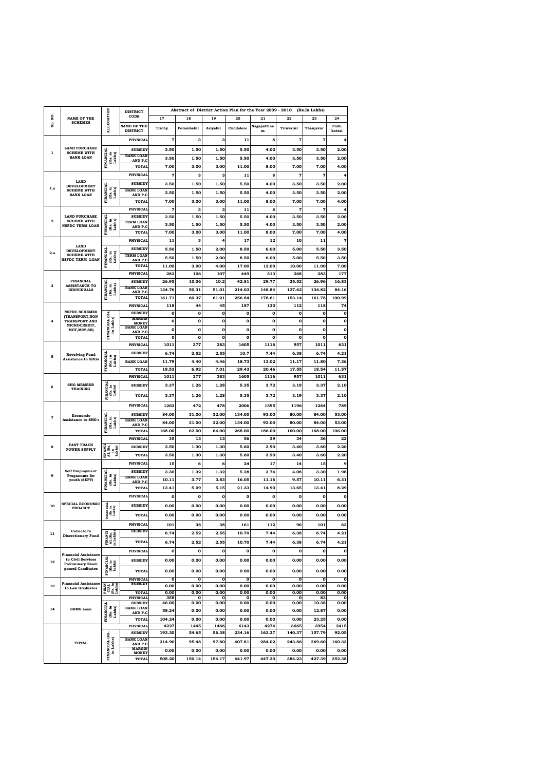|              | <b>NAME OF THE</b><br><b>SCHEMES</b>               |                                                                                            | <b>DISTRICT</b>                    | Abstract of District Action Plan for the Year 2009 - 2010<br>(Rs.In Lakhs) |            |           |           |                     |                |             |              |  |  |
|--------------|----------------------------------------------------|--------------------------------------------------------------------------------------------|------------------------------------|----------------------------------------------------------------------------|------------|-----------|-----------|---------------------|----------------|-------------|--------------|--|--|
| ğ            |                                                    |                                                                                            | CODE                               | 17                                                                         | 18         | 19        | 20        | 21                  | 22             | 23          | 24           |  |  |
| ສ່           |                                                    | <b>ALLOCATION</b>                                                                          | <b>NAME OF THE</b>                 | Trichy                                                                     | Perambalur | Ariyalur  | Cuddalore | Nagapattina         | Tiruvarur      | Thanjavur   | Pudu         |  |  |
|              |                                                    |                                                                                            | <b>DISTRICT</b>                    |                                                                            |            |           |           | $\mathbf m$         |                |             | kottai       |  |  |
|              |                                                    |                                                                                            | <b>PHYSICAL</b>                    | $\overline{7}$                                                             | 3          | 3         | 11        | 8                   | $\overline{7}$ | 7           | 4            |  |  |
| 1            | <b>LAND PURCHASE</b><br><b>SCHEME WITH</b>         |                                                                                            | <b>SUBSIDY</b>                     | 3.50                                                                       | 1.50       | 1.50      | 5.50      | 4.00                | 3.50           | 3.50        | 2.00         |  |  |
|              | <b>BANK LOAN</b>                                   | <b>FINANCIAL</b><br>(Rs. in<br>Lakhs)                                                      | <b>BANK LOAN</b><br>AND P.C        | 3.50                                                                       | 1.50       | 1.50      | 5.50      | 4.00                | 3.50           | 3.50        | 2.00         |  |  |
|              |                                                    |                                                                                            | <b>TOTAL</b>                       | 7.00                                                                       | 3.00       | 3.00      | 11.00     | 8.00                | 7.00           | 7.00        | 4.00         |  |  |
|              |                                                    |                                                                                            | <b>PHYSICAL</b>                    | 7                                                                          | 3          | 3         | 11        | 8                   | 7              | 7           | 4            |  |  |
|              | <b>LAND</b><br><b>DEVELOPMENT</b>                  |                                                                                            | <b>SUBSIDY</b>                     | 3.50                                                                       | 1.50       | 1.50      | 5.50      | 4.00                | 3.50           | 3.50        | 2.00         |  |  |
| 1.a          | <b>SCHEME WITH</b>                                 | FINANCIAL<br>(Rs. in<br>Lakhs)                                                             | <b>BANK LOAN</b>                   | 3.50                                                                       | 1.50       | 1.50      | 5.50      | 4.00                | 3.50           | 3.50        | 2.00         |  |  |
|              | <b>BANK LOAN</b>                                   |                                                                                            | AND P.C<br><b>TOTAL</b>            | 7.00                                                                       | 3.00       | 3.00      | 11.00     | 8.00                | 7.00           | 7.00        | 4.00         |  |  |
|              |                                                    |                                                                                            | <b>PHYSICAL</b>                    | $\pmb{7}$                                                                  | 3          | 3         | 11        | 8                   | 7              | 7           | 4            |  |  |
|              | <b>LAND PURCHASE</b>                               |                                                                                            | <b>SUBSIDY</b>                     | 3.50                                                                       | 1.50       | 1.50      | 5.50      | 4.00                | 3.50           | 3.50        | 2.00         |  |  |
| $\mathbf{2}$ | <b>SCHEME WITH</b><br><b>NSFDC TERM LOAN</b>       | (Rs. in<br>Lakhs)                                                                          | <b>TERM LOAN</b>                   | 3.50                                                                       | 1.50       | 1.50      | 5.50      | 4.00                | 3.50           | 3.50        | 2.00         |  |  |
|              |                                                    | FINANCIAL                                                                                  | AND P.C<br><b>TOTAL</b>            | 7.00                                                                       | 3.00       | 3.00      | 11.00     | 8.00                | 7.00           | 7.00        | 4.00         |  |  |
|              |                                                    |                                                                                            | <b>PHYSICAL</b>                    | 11                                                                         | 3          | 4         | 17        | 12                  | 10             | 11          | $\pmb{7}$    |  |  |
|              | <b>LAND</b>                                        |                                                                                            | <b>SUBSIDY</b>                     | 5.50                                                                       | 1.50       | 2.00      | 8.50      | 6.00                | 5.00           | 5.50        | 3.50         |  |  |
| 2.a          | <b>DEVELOPMENT</b><br><b>SCHEME WITH</b>           |                                                                                            | <b>TERM LOAN</b>                   |                                                                            |            |           |           |                     |                |             |              |  |  |
|              | <b>NSFDC TERM LOAN</b>                             | FINANCIAL<br>(Rs. in<br>Lakhs)                                                             | AND P.C                            | 5.50                                                                       | 1.50       | 2.00      | 8.50      | 6.00                | 5.00           | 5.50        | 3.50         |  |  |
|              |                                                    |                                                                                            | <b>TOTAL</b>                       | 11.00                                                                      | 3.00       | 4.00      | 17.00     | 12.00               | 10.00          | 11.00       | 7.00         |  |  |
|              |                                                    |                                                                                            | <b>PHYSICAL</b>                    | 283                                                                        | 106        | 107       | 449       | 313                 | 268            | 283         | 177          |  |  |
| з            | <b>FINANCIAL</b><br><b>ASSISTANCE TO</b>           | FINANCIAL                                                                                  | <b>SUBSIDY</b><br><b>BANK LOAN</b> | 26.95                                                                      | 10.06      | 10.2      | 42.81     | 29.77               | 25.52          | 26.96       | 16.83        |  |  |
|              | <b>INDIVIDUALS</b>                                 | (Rs. in<br>Lakhs)                                                                          | AND P.C                            | 134.76                                                                     | 50.31      | 51.01     | 214.03    | 148.84              | 127.62         | 134.82      | 84.16        |  |  |
|              |                                                    |                                                                                            | <b>TOTAL</b>                       | 161.71                                                                     | 60.37      | 61.21     | 256.84    | 178.61              | 153.14         | 161.78      | 100.99       |  |  |
|              |                                                    |                                                                                            | <b>PHYSICAL</b>                    | 118                                                                        | 44         | 45        | 187       | 130                 | 112            | 118         | 74           |  |  |
|              | <b>NSFDC SCHEMES</b><br>(TRANSPORT, NON            |                                                                                            | <b>SUBSIDY</b><br><b>MARGIN</b>    | o                                                                          | 0          | 0         | 0         | $\mathbf o$         | 0              | 0           | o            |  |  |
| 4            | <b>TRANSPORT AND</b><br>MICROCREDIT,               | in Lakhs)                                                                                  | <b>MONEY</b><br><b>BANK LOAN</b>   | 0                                                                          | 0          | $\bf{0}$  | 0         | $\mathbf 0$         | 0              | 0           | 0            |  |  |
|              | MCF, MSY, SB)                                      | FINANCIAL (Rs.                                                                             | AND P.C                            | 0                                                                          | 0          | $\bf{0}$  | 0         | $\mathbf o$         | 0              | $\mathbf o$ | 0            |  |  |
|              |                                                    |                                                                                            | <b>TOTAL</b>                       | 0                                                                          | 0          | 0         | 0         | $\mathbf o$         | 0              | $\mathbf o$ | $\mathbf 0$  |  |  |
|              |                                                    |                                                                                            | <b>PHYSICAL</b>                    | 1011                                                                       | 377        | 383       | 1605      | 1116                | 957            | 1011        | 631          |  |  |
| 5            | <b>Revolving Fund</b><br><b>Assistance to SHGs</b> | FINANCIAL<br>(Rs. in<br>Lakhs)                                                             | <b>SUBSIDY</b>                     | 6.74                                                                       | 2.52       | 2.55      | 10.7      | 7.44                | 6.38           | 6.74        | 4.21         |  |  |
|              |                                                    |                                                                                            | <b>BANK LOAN</b>                   | 11.79                                                                      | 4.40       | 4.46      | 18.73     | 13.02               | 11.17          | 11.80       | 7.36         |  |  |
|              |                                                    |                                                                                            | <b>TOTAL</b>                       | 18.53                                                                      | 6.92       | 7.01      | 29.43     | 20.46               | 17.55          | 18.54       | 11.57        |  |  |
|              | <b>SHG MEMBER</b><br><b>TRAINING</b>               |                                                                                            | <b>PHYSICAL</b>                    | 1011                                                                       | 377        | 383       | 1605      | 1116                | 957            | 1011        | 631          |  |  |
| 6            |                                                    | <b>FINANCIAL</b><br>(Rs. in<br>Lakhs)                                                      | <b>SUBSIDY</b>                     | 3.37                                                                       | 1.26       | 1.28      | 5.35      | 3.72                | 3.19           | 3.37        | 2.10         |  |  |
|              |                                                    |                                                                                            | <b>TOTAL</b>                       | 3.37                                                                       | 1.26       | 1.28      | 5.35      | 3.72                | 3.19           | 3.37        | 2.10         |  |  |
|              | Economic<br><b>Assistance to SHG's</b>             |                                                                                            | <b>PHYSICAL</b>                    | 1263                                                                       | 472        | 478       | 2006      | 1395                | 1196           | 1264        | 789          |  |  |
|              |                                                    |                                                                                            |                                    | 84.00                                                                      |            |           |           |                     |                |             |              |  |  |
| 7            |                                                    | <b>FINANCIAL</b>                                                                           | <b>SUBSIDY</b><br><b>BANK LOAN</b> |                                                                            | 31.00      | 32.00     | 134.00    | 93.00               | 80.00          | 84.00       | 53.00        |  |  |
|              |                                                    | (Rs. in<br>Lakhs)                                                                          | AND P.C                            | 84.00                                                                      | 31.00      | 32.00     | 134.00    | 93.00               | 80.00          | 84.00       | 53.00        |  |  |
|              |                                                    |                                                                                            | <b>TOTAL</b>                       | 168.00                                                                     | 62.00      | 64.00     | 268.00    | 186.00              | 160.00         | 168.00      | 106.00       |  |  |
|              | <b>FAST TRACK</b><br><b>POWER SUPPLY</b>           |                                                                                            | <b>PHYSICAL</b>                    | 35                                                                         | 13         | 13        | 56        | 39                  | 34             | 36          | 22           |  |  |
| 8            |                                                    | <b>FINANCI</b><br>$\begin{array}{c}\n\text{AL (Rs.}\\ \text{in}\\ \text{Lakhs}\end{array}$ | <b>SUBSIDY</b>                     | 3.50                                                                       | 1.30       | 1.30      | 5.60      | 3.90                | 3.40           | 3.60        | 2.20         |  |  |
|              |                                                    |                                                                                            | <b>TOTAL</b>                       | 3.50                                                                       | 1.30       | 1.30      | 5.60      | 3.90                | 3.40           | 3.60        | 2.20         |  |  |
|              |                                                    |                                                                                            | <b>PHYSICAL</b>                    | 15                                                                         | 6          | 6         | 24        | 17                  | 14             | 15          | 9            |  |  |
| 9            | <b>Self Employment</b><br>Programme for            |                                                                                            | <b>SUBSIDY</b><br><b>BANK LOAN</b> | 3.30                                                                       | 1.32       | 1.32      | 5.28      | 3.74                | 4.08           | 3.30        | 1.98         |  |  |
|              | youth (SEPY)                                       | <b>FINANCIAL</b><br>(Rs. in<br>Lakhs)                                                      | <u>AND P.C</u>                     | 10.11                                                                      | 3.77       | 3.83      | 16.05     | 11.16               | 9.57           | 10.11       | 6.31         |  |  |
|              |                                                    |                                                                                            | <b>TOTAL</b>                       | 13.41                                                                      | 5.09       | 5.15      | 21.33     | 14.90               | 13.65          | 13.41       | 8.29         |  |  |
|              |                                                    |                                                                                            | <b>PHYSICAL</b>                    | 0                                                                          | 0          | o         | 0         | o                   | o              | $\mathbf o$ | 0            |  |  |
| 10           | SPECIAL ECONOMIC<br><b>PROJECT</b>                 | FINANCIAL<br>[Rs. in<br>Lakhs]                                                             | <b>SUBSIDY</b>                     | 0.00                                                                       | 0.00       | 0.00      | 0.00      | 0.00                | 0.00           | 0.00        | 0.00         |  |  |
|              |                                                    |                                                                                            | <b>TOTAL</b>                       | 0.00                                                                       | 0.00       | 0.00      | 0.00      | 0.00                | 0.00           | 0.00        | 0.00         |  |  |
|              |                                                    |                                                                                            | <b>PHYSICAL</b>                    | 101                                                                        | 38         | 38        | 161       | 112                 | 96             | 101         | 63           |  |  |
| 11           | Collector's                                        |                                                                                            | <b>SUBSIDY</b>                     | 6.74                                                                       | 2.52       | 2.55      | 10.70     | 7.44                | 6.38           | 6.74        | 4.21         |  |  |
|              | <b>Discretionary Fund</b>                          | FINANCI<br>AL (Rs.<br>in Lakhs)                                                            |                                    |                                                                            |            |           |           |                     |                |             |              |  |  |
|              |                                                    |                                                                                            | <b>TOTAL</b>                       | 6.74                                                                       | 2.52       | 2.55      | 10.70     | 7.44                | 6.38           | 6.74        | 4.21         |  |  |
|              | <b>Financial Assistance</b>                        |                                                                                            | <b>PHYSICAL</b>                    | 0                                                                          | 0          | 0         | 0         | $\mathbf o$         | 0              | 0           | 0            |  |  |
| 12           | to Civil Services<br><b>Preliminary Exam</b>       |                                                                                            | <b>SUBSIDY</b>                     | 0.00                                                                       | 0.00       | 0.00      | 0.00      | 0.00                | 0.00           | 0.00        | 0.00         |  |  |
|              | passed Canditates                                  | FINANCIAL<br>[Rs. in<br>Lakhs]                                                             | <b>TOTAL</b>                       | 0.00                                                                       | 0.00       | 0.00      | 0.00      | 0.00                | 0.00           | 0.00        | 0.00         |  |  |
|              |                                                    |                                                                                            | <b>PHYSICAL</b>                    | $\mathbf 0$                                                                | 0          | 0         | 0         | $\mathbf 0$         | $\mathbf 0$    | o           | $\mathbf{o}$ |  |  |
| 13           | <b>Financial Assistance</b><br>to Law Graduates    | <b>FINAN</b><br>$\frac{CIAL}{(Rs. in)}$<br>Lakhs)                                          | <b>SUBSIDY</b>                     | 0.00                                                                       | 0.00       | 0.00      | 0.00      | 0.00                | 0.00           | 0.00        | 0.00         |  |  |
|              |                                                    |                                                                                            | <b>TOTAL</b>                       | 0.00                                                                       | 0.00       | 0.00      | 0.00      | 0.00                | 0.00           | 0.00        | 0.00         |  |  |
|              |                                                    |                                                                                            | <b>PHYSICAL</b><br><b>SUBSIDY</b>  | 358<br>46.00                                                               | 0<br>0.00  | о<br>0.00 | 0<br>0.00 | $\mathbf o$<br>0.00 | о<br>0.00      | 83<br>10.38 | 0<br>0.00    |  |  |
| 14           | <b>SRMS Loan</b>                                   | <b>FINANCIAL</b><br>(Rs. in<br>Lakhs)                                                      | <b>BANK LOAN</b><br>AND P.C        | 58.24                                                                      | 0.00       | 0.00      | 0.00      | 0.00                | 0.00           | 12.87       | 0.00         |  |  |
|              |                                                    |                                                                                            | <b>TOTAL</b>                       | 104.24                                                                     | 0.00       | 0.00      | 0.00      | 0.00                | 0.00           | 23.25       | 0.00         |  |  |
|              |                                                    |                                                                                            | <b>PHYSICAL</b>                    | 4227                                                                       | 1445       | 1466      | 6143      | 4274                | 3665           | 3954        | 2415         |  |  |
|              |                                                    |                                                                                            | <b>SUBSIDY</b>                     | 193.30                                                                     | 54.65      | 56.38     | 234.16    | 163.27              | 140.37         | 157.79      | 92.05        |  |  |
|              | <b>TOTAL</b>                                       |                                                                                            | <b>BANK LOAN</b><br>AND P.C        | 314.90                                                                     | 95.48      | 97.80     | 407.81    | 284.02              | 243.86         | 269.60      | 160.33       |  |  |
|              |                                                    |                                                                                            | <b>MARGIN</b>                      | 0.00                                                                       | 0.00       | 0.00      | 0.00      | 0.00                | 0.00           | 0.00        | 0.00         |  |  |
|              |                                                    | FINANCIAL (Rs.<br>in Lakhs)                                                                | <b>MONEY</b><br><b>TOTAL</b>       | 508.20                                                                     | 150.14     | 154.17    | 641.97    | 447.30              | 384.23         | 427.39      | 252.38       |  |  |
|              |                                                    |                                                                                            |                                    |                                                                            |            |           |           |                     |                |             |              |  |  |